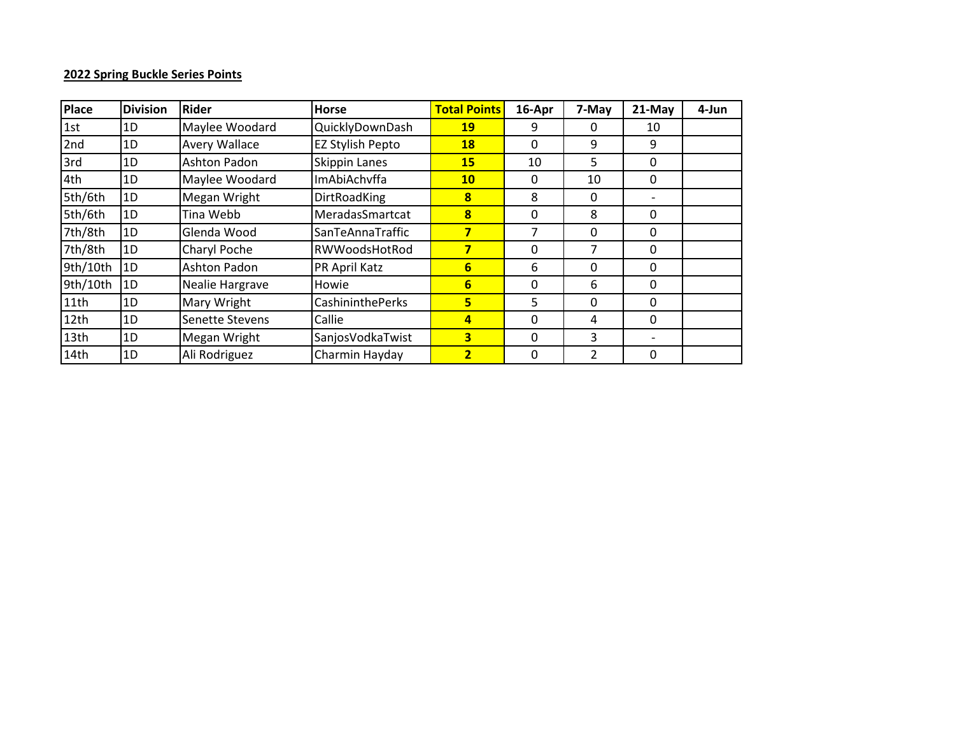## **2022 Spring Buckle Series Points**

| Place            | <b>Division</b> | <b>Rider</b>         | <b>Horse</b>            | <b>Total Points</b> | 16-Apr       | 7-May                    | $21$ -May | 4-Jun |
|------------------|-----------------|----------------------|-------------------------|---------------------|--------------|--------------------------|-----------|-------|
| 1st              | 1D              | Maylee Woodard       | QuicklyDownDash         | <b>19</b>           | 9            | 0                        | 10        |       |
| 2nd              | 1D              | <b>Avery Wallace</b> | EZ Stylish Pepto        | <b>18</b>           | 0            | 9                        | 9         |       |
| 3rd              | 1D              | <b>Ashton Padon</b>  | Skippin Lanes           | 15                  | 10           | 5                        | 0         |       |
| 4th              | 1D              | Maylee Woodard       | ImAbiAchvffa            | 10                  | 0            | 10                       | 0         |       |
| 5th/6th          | 1D              | Megan Wright         | <b>DirtRoadKing</b>     | 8                   | 8            | 0                        |           |       |
| 5th/6th          | 1D              | Tina Webb            | MeradasSmartcat         | 8                   | $\Omega$     | 8                        | $\Omega$  |       |
| 7th/8th          | 1D              | Glenda Wood          | SanTeAnnaTraffic        | 7                   | 7            | 0                        | 0         |       |
| 7th/8th          | 1D              | Charyl Poche         | RWWoodsHotRod           | 7                   | $\Omega$     | 7                        | $\Omega$  |       |
| 9th/10th         | 1D              | <b>Ashton Padon</b>  | PR April Katz           | 6                   | 6            | 0                        | 0         |       |
| 9th/10th         | 1D              | Nealie Hargrave      | Howie                   | 6                   | $\Omega$     | 6                        | $\Omega$  |       |
| 11th             | 1D              | Mary Wright          | <b>CashininthePerks</b> | 5 <sub>h</sub>      | 5            | $\mathbf{0}$             | $\Omega$  |       |
| 12 <sub>th</sub> | 1D              | Senette Stevens      | Callie                  | 4                   | $\Omega$     | 4                        | $\Omega$  |       |
| 13th             | 1D              | Megan Wright         | SanjosVodkaTwist        | 3                   | 0            | 3                        |           |       |
| 14th             | 1D              | Ali Rodriguez        | Charmin Hayday          | $\overline{2}$      | $\mathbf{0}$ | $\overline{\mathcal{L}}$ | 0         |       |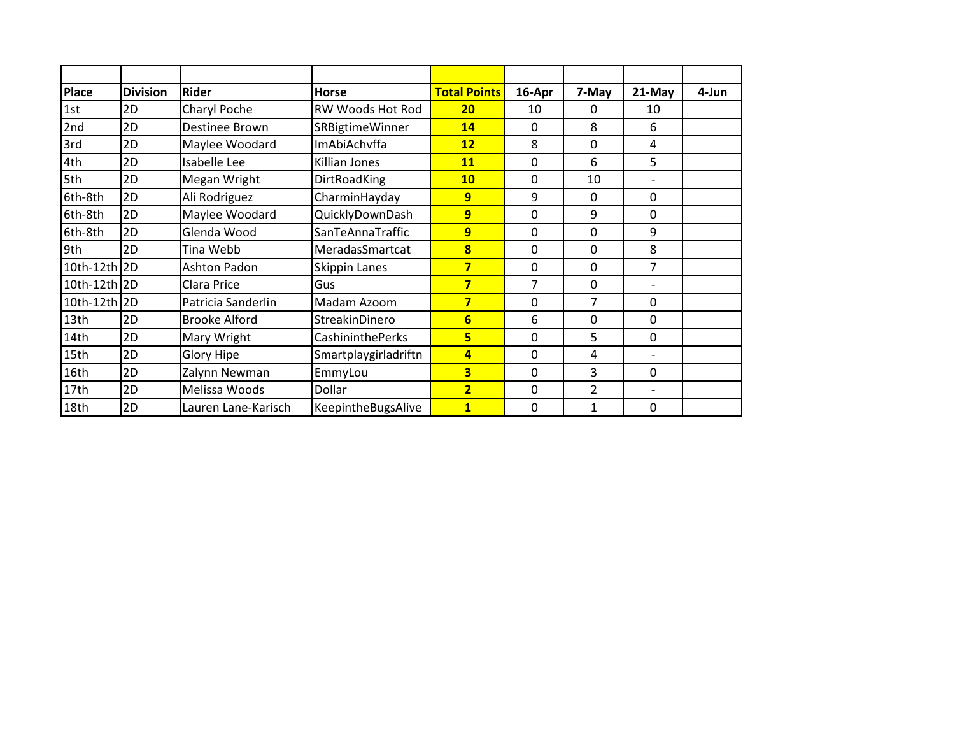| <b>Place</b> | <b>Division</b> | <b>Rider</b>         | <b>Horse</b>            | <b>Total Points</b>     | 16-Apr       | 7-May          | $21-May$       | 4-Jun |
|--------------|-----------------|----------------------|-------------------------|-------------------------|--------------|----------------|----------------|-------|
| 1st          | 2D              | Charyl Poche         | RW Woods Hot Rod        | 20                      | 10           | 0              | 10             |       |
| 2nd          | 2D              | Destinee Brown       | SRBigtimeWinner         | 14                      | 0            | 8              | 6              |       |
| 3rd          | 2D              | Maylee Woodard       | ImAbiAchvffa            | 12                      | 8            | 0              | 4              |       |
| 4th          | 2D              | Isabelle Lee         | Killian Jones           | 11                      | 0            | 6              | 5              |       |
| 5th          | 2D              | Megan Wright         | DirtRoadKing            | <b>10</b>               | 0            | 10             | $\overline{a}$ |       |
| 6th-8th      | 2D              | Ali Rodriguez        | CharminHayday           | 9                       | 9            | 0              | 0              |       |
| 6th-8th      | 2D              | Maylee Woodard       | QuicklyDownDash         | 9                       | 0            | 9              | 0              |       |
| 6th-8th      | 2D              | Glenda Wood          | SanTeAnnaTraffic        | 9                       | 0            | 0              | 9              |       |
| 9th          | 2D              | Tina Webb            | MeradasSmartcat         | 8                       | 0            | 0              | 8              |       |
| 10th-12th 2D |                 | Ashton Padon         | Skippin Lanes           | 7                       | 0            | 0              | 7              |       |
| 10th-12th 2D |                 | Clara Price          | Gus                     | $\overline{\mathbf{z}}$ | 7            | 0              |                |       |
| 10th-12th 2D |                 | Patricia Sanderlin   | Madam Azoom             | 7                       | $\mathbf{0}$ | 7              | 0              |       |
| 13th         | 2D              | <b>Brooke Alford</b> | StreakinDinero          | $6\overline{}$          | 6            | 0              | 0              |       |
| 14th         | 2D              | Mary Wright          | <b>CashininthePerks</b> | 5                       | 0            | 5              | 0              |       |
| 15th         | 2D              | <b>Glory Hipe</b>    | Smartplaygirladriftn    | 4                       | 0            | 4              |                |       |
| 16th         | 2D              | Zalynn Newman        | EmmyLou                 | $\overline{\mathbf{3}}$ | 0            | 3              | 0              |       |
| 17th         | 2D              | Melissa Woods        | Dollar                  | $\overline{2}$          | 0            | $\overline{2}$ |                |       |
| 18th         | 2D              | Lauren Lane-Karisch  | KeepintheBugsAlive      | $\overline{1}$          | 0            | 1              | 0              |       |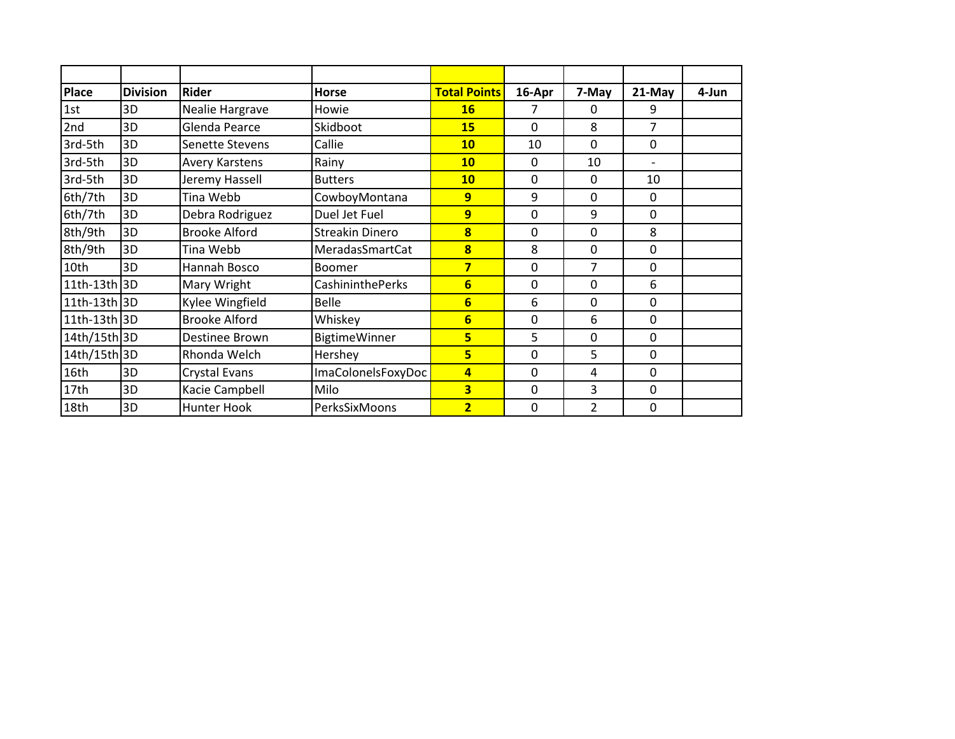| <b>Place</b> | <b>Division</b> | <b>Rider</b>         | <b>Horse</b>         | <b>Total Points</b>     | 16-Apr | 7-May          | 21-May      | 4-Jun |
|--------------|-----------------|----------------------|----------------------|-------------------------|--------|----------------|-------------|-------|
| 1st          | 3D              | Nealie Hargrave      | Howie                | <b>16</b>               | 7      | 0              | 9           |       |
| 2nd          | 3D              | Glenda Pearce        | Skidboot             | <b>15</b>               | 0      | 8              | 7           |       |
| 3rd-5th      | 3D              | Senette Stevens      | Callie               | <b>10</b>               | 10     | 0              | 0           |       |
| 3rd-5th      | 3D              | Avery Karstens       | Rainy                | <b>10</b>               | 0      | 10             |             |       |
| 3rd-5th      | 3D              | Jeremy Hassell       | <b>Butters</b>       | <b>10</b>               | 0      | 0              | 10          |       |
| 6th/7th      | 3D              | Tina Webb            | CowboyMontana        | $\overline{9}$          | 9      | 0              | 0           |       |
| 6th/7th      | 3D              | Debra Rodriguez      | Duel Jet Fuel        | 9                       | 0      | 9              | 0           |       |
| 8th/9th      | 3D              | <b>Brooke Alford</b> | Streakin Dinero      | $\overline{\mathbf{8}}$ | 0      | 0              | 8           |       |
| 8th/9th      | 3D              | Tina Webb            | MeradasSmartCat      | 8                       | 8      | 0              | $\mathbf 0$ |       |
| 10th         | 3D              | Hannah Bosco         | Boomer               | $\overline{\mathbf{z}}$ | 0      | 7              | 0           |       |
| 11th-13th 3D |                 | Mary Wright          | CashininthePerks     | $6 \n$                  | 0      | 0              | 6           |       |
| 11th-13th 3D |                 | Kylee Wingfield      | <b>Belle</b>         | 6                       | 6      | 0              | 0           |       |
| 11th-13th 3D |                 | <b>Brooke Alford</b> | Whiskey              | $6\phantom{1}$          | 0      | 6              | 0           |       |
| 14th/15th 3D |                 | Destinee Brown       | <b>BigtimeWinner</b> | 5                       | 5      | 0              | $\mathbf 0$ |       |
| 14th/15th 3D |                 | Rhonda Welch         | Hershey              | 5                       | 0      | 5              | 0           |       |
| 16th         | 3D              | Crystal Evans        | ImaColonelsFoxyDoc   | $\overline{\mathbf{A}}$ | 0      | 4              | $\Omega$    |       |
| 17th         | 3D              | Kacie Campbell       | Milo                 | $\overline{\mathbf{3}}$ | 0      | 3              | 0           |       |
| 18th         | 3D              | <b>Hunter Hook</b>   | PerksSixMoons        | $\overline{2}$          | 0      | $\overline{2}$ | 0           |       |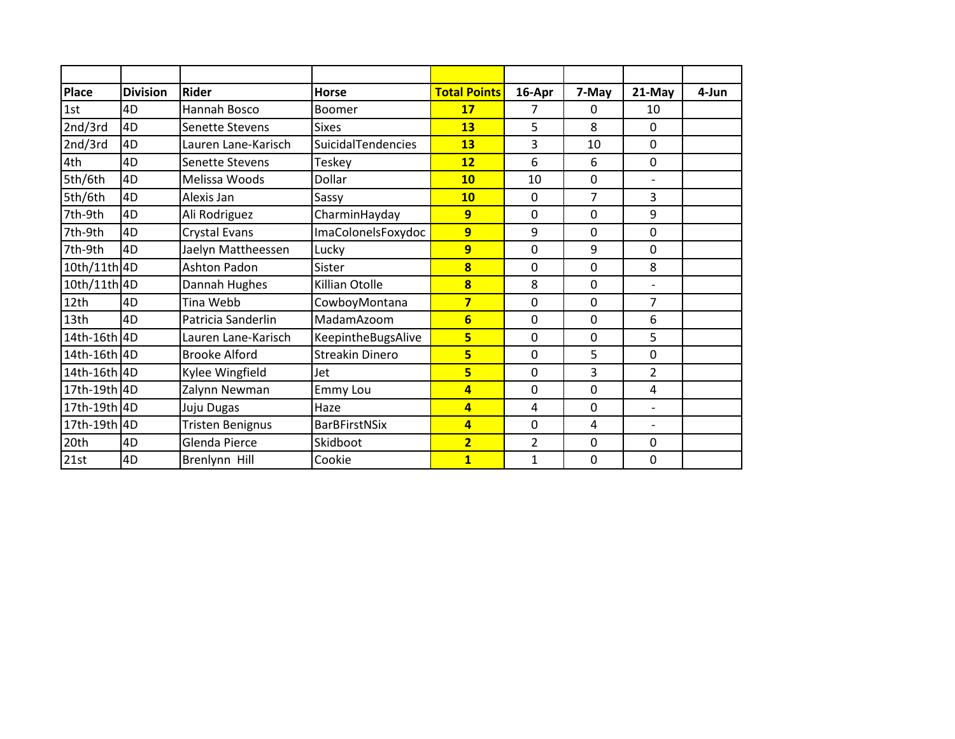| <b>Place</b> | <b>Division</b> | <b>Rider</b>            | <b>Horse</b>           | <b>Total Points</b>     | 16-Apr         | 7-May | 21-May                   | 4-Jun |
|--------------|-----------------|-------------------------|------------------------|-------------------------|----------------|-------|--------------------------|-------|
| 1st          | 4D              | Hannah Bosco            | Boomer                 | 17                      | 7              | 0     | 10                       |       |
| 2nd/3rd      | 4D              | <b>Senette Stevens</b>  | <b>Sixes</b>           | 13                      | 5              | 8     | $\mathbf 0$              |       |
| 2nd/3rd      | 4D              | Lauren Lane-Karisch     | SuicidalTendencies     | 13                      | 3              | 10    | 0                        |       |
| 4th          | 4D              | Senette Stevens         | Teskey                 | 12                      | 6              | 6     | 0                        |       |
| 5th/6th      | 4D              | Melissa Woods           | Dollar                 | 10                      | 10             | 0     | $\overline{\phantom{0}}$ |       |
| 5th/6th      | 4D              | Alexis Jan              | Sassy                  | <b>10</b>               | 0              | 7     | 3                        |       |
| 7th-9th      | 4D              | Ali Rodriguez           | CharminHayday          | $\overline{9}$          | 0              | 0     | 9                        |       |
| 7th-9th      | 4D              | Crystal Evans           | ImaColonelsFoxydoc     | 9                       | 9              | 0     | 0                        |       |
| 7th-9th      | 4D              | Jaelyn Mattheessen      | Lucky                  | 9                       | 0              | 9     | 0                        |       |
| 10th/11th 4D |                 | <b>Ashton Padon</b>     | Sister                 | 8                       | 0              | 0     | 8                        |       |
| 10th/11th 4D |                 | Dannah Hughes           | Killian Otolle         | $\bf{8}$                | 8              | 0     | $\overline{\phantom{0}}$ |       |
| 12th         | 4D              | Tina Webb               | CowboyMontana          | $\overline{\mathbf{z}}$ | 0              | 0     | $\overline{7}$           |       |
| 13th         | 4D              | Patricia Sanderlin      | MadamAzoom             | $6\overline{6}$         | 0              | 0     | 6                        |       |
| 14th-16th 4D |                 | Lauren Lane-Karisch     | KeepintheBugsAlive     | 5                       | 0              | 0     | 5                        |       |
| 14th-16th 4D |                 | <b>Brooke Alford</b>    | <b>Streakin Dinero</b> | 5                       | 0              | 5     | 0                        |       |
| 14th-16th 4D |                 | Kylee Wingfield         | Jet                    | 5                       | 0              | 3     | $\overline{2}$           |       |
| 17th-19th 4D |                 | Zalynn Newman           | Emmy Lou               | $\overline{a}$          | 0              | 0     | 4                        |       |
| 17th-19th 4D |                 | Juju Dugas              | Haze                   | $\overline{a}$          | 4              | 0     | $\overline{\phantom{0}}$ |       |
| 17th-19th    | 4D              | <b>Tristen Benignus</b> | <b>BarBFirstNSix</b>   | $\overline{a}$          | 0              | 4     | $\overline{\phantom{0}}$ |       |
| 20th         | 4D              | Glenda Pierce           | Skidboot               | $\overline{\mathbf{2}}$ | $\overline{2}$ | 0     | 0                        |       |
| 21st         | 4D              | Brenlynn Hill           | Cookie                 | $\overline{\mathbf{1}}$ | $\mathbf{1}$   | 0     | 0                        |       |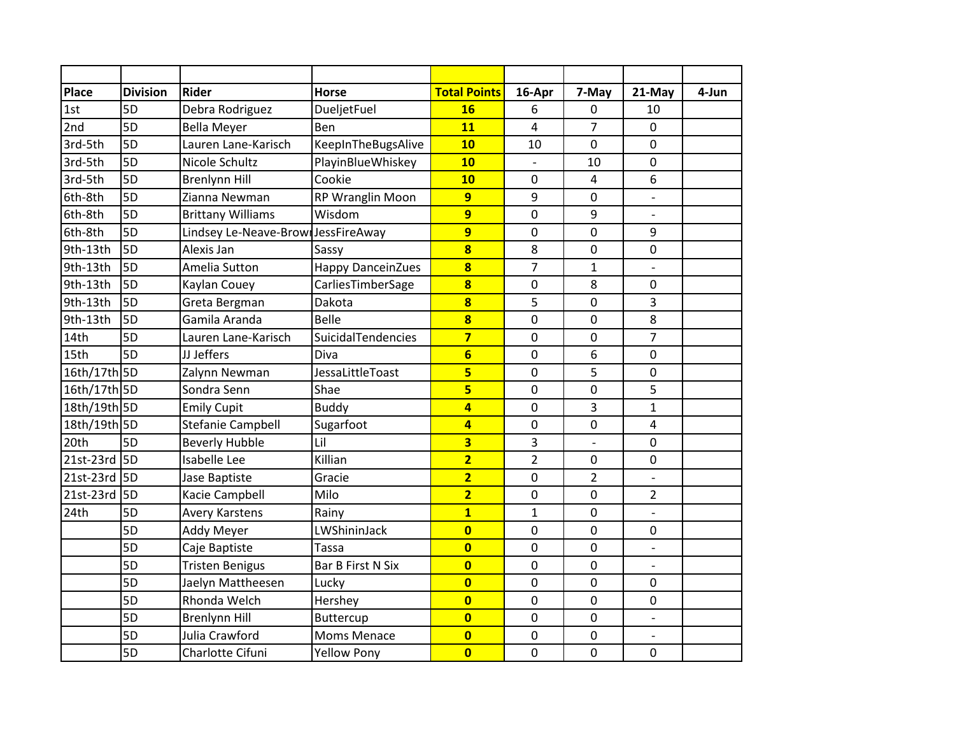| <b>Place</b> | <b>Division</b> | <b>Rider</b>                        | <b>Horse</b>             | <b>Total Points</b>     | 16-Apr         | 7-May          | 21-May                   | 4-Jun |
|--------------|-----------------|-------------------------------------|--------------------------|-------------------------|----------------|----------------|--------------------------|-------|
| 1st          | 5D              | Debra Rodriguez                     | DueljetFuel              | <b>16</b>               | 6              | 0              | 10                       |       |
| 2nd          | 5D              | <b>Bella Meyer</b>                  | Ben                      | 11                      | 4              | $\overline{7}$ | $\mathbf 0$              |       |
| 3rd-5th      | 5D              | Lauren Lane-Karisch                 | KeepInTheBugsAlive       | 10                      | 10             | $\mathbf 0$    | $\mathbf 0$              |       |
| 3rd-5th      | 5D              | Nicole Schultz                      | PlayinBlueWhiskey        | 10                      |                | 10             | $\mathbf 0$              |       |
| 3rd-5th      | 5D              | <b>Brenlynn Hill</b>                | Cookie                   | 10                      | $\mathbf 0$    | 4              | 6                        |       |
| 6th-8th      | 5D              | Zianna Newman                       | RP Wranglin Moon         | $\overline{9}$          | 9              | 0              | $\overline{a}$           |       |
| 6th-8th      | 5D              | <b>Brittany Williams</b>            | Wisdom                   | $\overline{9}$          | 0              | 9              |                          |       |
| 6th-8th      | 5D              | Lindsey Le-Neave-Brown JessFireAway |                          | $\overline{9}$          | 0              | $\mathbf 0$    | 9                        |       |
| 9th-13th     | 5D              | Alexis Jan                          | Sassy                    | $\overline{\mathbf{8}}$ | 8              | $\mathbf 0$    | $\mathbf 0$              |       |
| 9th-13th     | 5D              | Amelia Sutton                       | <b>Happy DanceinZues</b> | $\overline{\mathbf{8}}$ | 7              | $\mathbf{1}$   |                          |       |
| 9th-13th     | 5D              | Kaylan Couey                        | CarliesTimberSage        | $\overline{\mathbf{8}}$ | 0              | 8              | $\mathbf 0$              |       |
| 9th-13th     | 5D              | Greta Bergman                       | Dakota                   | $\overline{\mathbf{8}}$ | 5              | $\mathbf 0$    | 3                        |       |
| 9th-13th     | 5D              | Gamila Aranda                       | Belle                    | $\overline{\mathbf{8}}$ | 0              | $\mathbf 0$    | 8                        |       |
| 14th         | 5D              | Lauren Lane-Karisch                 | SuicidalTendencies       | $\overline{\mathbf{z}}$ | $\pmb{0}$      | $\pmb{0}$      | $\overline{7}$           |       |
| 15th         | 5D              | JJ Jeffers                          | Diva                     | $6\overline{}$          | 0              | 6              | $\mathbf 0$              |       |
| 16th/17th 5D |                 | Zalynn Newman                       | JessaLittleToast         | 5                       | 0              | 5              | $\mathbf 0$              |       |
| 16th/17th 5D |                 | Sondra Senn                         | Shae                     | 5                       | 0              | 0              | 5                        |       |
| 18th/19th 5D |                 | <b>Emily Cupit</b>                  | <b>Buddy</b>             | $\overline{\mathbf{4}}$ | 0              | 3              | $\mathbf{1}$             |       |
| 18th/19th 5D |                 | Stefanie Campbell                   | Sugarfoot                | $\overline{4}$          | $\mathbf 0$    | $\mathbf 0$    | 4                        |       |
| 20th         | 5D              | <b>Beverly Hubble</b>               | Lil                      | $\overline{\mathbf{3}}$ | 3              | $\blacksquare$ | $\mathbf 0$              |       |
| 21st-23rd 5D |                 | Isabelle Lee                        | Killian                  | $\overline{2}$          | $\overline{2}$ | $\mathbf 0$    | $\mathbf 0$              |       |
| 21st-23rd    | 15D             | Jase Baptiste                       | Gracie                   | $\overline{2}$          | 0              | $\overline{2}$ | $\overline{a}$           |       |
| 21st-23rd    | <b>5D</b>       | Kacie Campbell                      | Milo                     | $\overline{2}$          | 0              | 0              | $\overline{2}$           |       |
| 24th         | 5D              | <b>Avery Karstens</b>               | Rainy                    | $\mathbf{1}$            | $\mathbf{1}$   | $\mathbf 0$    |                          |       |
|              | 5D              | Addy Meyer                          | LWShininJack             | $\overline{\mathbf{0}}$ | 0              | $\mathbf 0$    | $\mathbf 0$              |       |
|              | 5D              | Caje Baptiste                       | <b>Tassa</b>             | $\overline{\mathbf{0}}$ | 0              | $\pmb{0}$      | $\blacksquare$           |       |
|              | 5D              | <b>Tristen Benigus</b>              | <b>Bar B First N Six</b> | $\overline{\mathbf{0}}$ | 0              | $\pmb{0}$      | $\overline{a}$           |       |
|              | 5D              | Jaelyn Mattheesen                   | Lucky                    | $\overline{\mathbf{0}}$ | 0              | $\mathbf 0$    | $\mathbf 0$              |       |
|              | 5D              | Rhonda Welch                        | Hershey                  | $\overline{\mathbf{0}}$ | 0              | $\mathbf 0$    | $\mathbf 0$              |       |
|              | 5D              | <b>Brenlynn Hill</b>                | Buttercup                | $\overline{\mathbf{0}}$ | $\pmb{0}$      | $\pmb{0}$      |                          |       |
|              | 5D              | Julia Crawford                      | <b>Moms Menace</b>       | $\overline{\mathbf{0}}$ | 0              | $\pmb{0}$      | $\overline{\phantom{a}}$ |       |
|              | 5D              | Charlotte Cifuni                    | <b>Yellow Pony</b>       | $\overline{\mathbf{0}}$ | $\mathbf 0$    | $\mathbf 0$    | $\mathbf 0$              |       |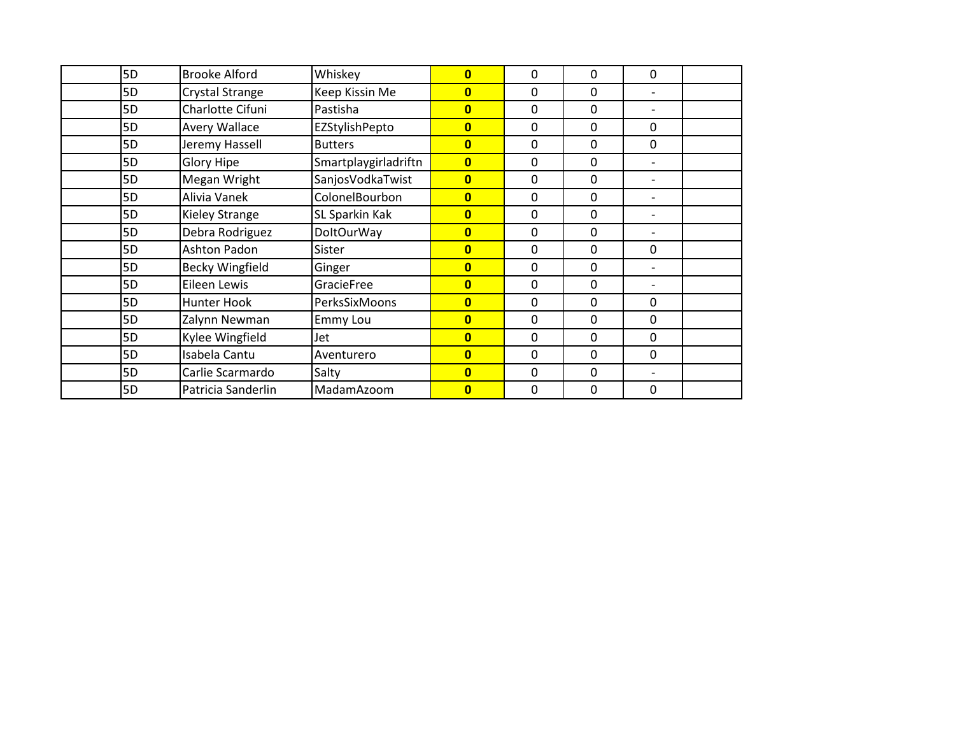| 5D             | <b>Brooke Alford</b>         | Whiskey              | $\mathbf{0}$            | 0 | 0            | 0                            |  |
|----------------|------------------------------|----------------------|-------------------------|---|--------------|------------------------------|--|
| 5D             | Crystal Strange              | Keep Kissin Me       | $\mathbf{0}$            | 0 | $\mathbf{0}$ | $\overline{\phantom{0}}$     |  |
| 5D             | Charlotte Cifuni<br>Pastisha |                      | $\mathbf{0}$            | 0 | 0            | $\overline{\phantom{0}}$     |  |
| 5D             | <b>Avery Wallace</b>         | EZStylishPepto       | $\overline{\mathbf{0}}$ | 0 | 0            | $\mathbf 0$                  |  |
| 5D             | Jeremy Hassell               | <b>Butters</b>       | $\overline{\mathbf{0}}$ | 0 | 0            | 0                            |  |
| 5D             | <b>Glory Hipe</b>            | Smartplaygirladriftn | $\overline{\mathbf{0}}$ | 0 | 0            | $\overline{\phantom{0}}$     |  |
| 5D             | Megan Wright                 | SanjosVodkaTwist     | $\overline{\mathbf{0}}$ | 0 | 0            | $\qquad \qquad \blacksquare$ |  |
| 5D             | Alivia Vanek                 | ColonelBourbon       | $\overline{\mathbf{0}}$ | 0 | 0            | $\overline{\phantom{0}}$     |  |
| 5D             | <b>Kieley Strange</b>        | SL Sparkin Kak       | $\bf{0}$                | 0 | 0            | $\overline{\phantom{0}}$     |  |
| 5D             | Debra Rodriguez              | <b>DoltOurWay</b>    | $\bf{0}$                | 0 | 0            |                              |  |
| 5D             | Ashton Padon                 | Sister               | $\overline{\mathbf{0}}$ | 0 | $\mathbf{0}$ | 0                            |  |
| 5 <sub>D</sub> | <b>Becky Wingfield</b>       | Ginger               | $\mathbf{0}$            | 0 | $\mathbf{0}$ |                              |  |
| 5D             | Eileen Lewis                 | GracieFree           | $\overline{\mathbf{0}}$ | 0 | 0            |                              |  |
| 5D             | Hunter Hook                  | PerksSixMoons        | $\overline{\mathbf{0}}$ | 0 | 0            | 0                            |  |
| 5D             | Zalynn Newman                | <b>Emmy Lou</b>      | $\overline{\mathbf{0}}$ | 0 | $\Omega$     | $\Omega$                     |  |
| 5D             | Kylee Wingfield              | Jet                  | $\overline{0}$          | 0 | 0            | 0                            |  |
| 5D             | Isabela Cantu                | Aventurero           | $\mathbf{0}$            | 0 | $\Omega$     | 0                            |  |
| 5D             | Carlie Scarmardo             | Salty                | $\overline{0}$          | 0 | 0            | $\overline{\phantom{0}}$     |  |
| 5D             | Patricia Sanderlin           | MadamAzoom           | $\overline{0}$          | 0 | 0            | 0                            |  |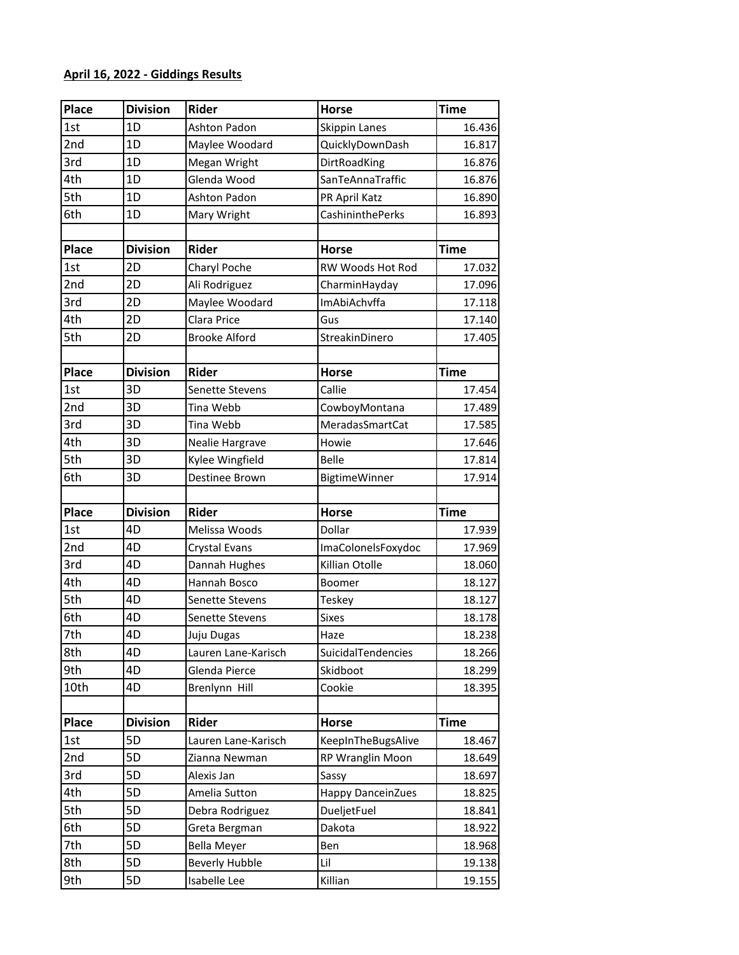## **April 16, 2022 - Giddings Results**

| Place        | <b>Division</b> | <b>Rider</b>           | <b>Horse</b>            | <b>Time</b> |
|--------------|-----------------|------------------------|-------------------------|-------------|
| 1st          | 1D              | <b>Ashton Padon</b>    | Skippin Lanes           | 16.436      |
| 2nd          | 1D              | Maylee Woodard         | QuicklyDownDash         | 16.817      |
| 3rd          | 1D              | Megan Wright           | DirtRoadKing            | 16.876      |
| 4th          | 1D              | Glenda Wood            | SanTeAnnaTraffic        | 16.876      |
| 5th          | 1D              | Ashton Padon           | PR April Katz           | 16.890      |
| 6th          | 1D              | Mary Wright            | <b>CashininthePerks</b> | 16.893      |
|              |                 |                        |                         |             |
| <b>Place</b> | <b>Division</b> | <b>Rider</b>           | <b>Horse</b>            | <b>Time</b> |
| 1st          | 2D              | Charyl Poche           | RW Woods Hot Rod        | 17.032      |
| 2nd          | 2D              | Ali Rodriguez          | CharminHayday           | 17.096      |
| 3rd          | 2D              | Maylee Woodard         | ImAbiAchvffa            | 17.118      |
| 4th          | 2D              | Clara Price            | Gus                     | 17.140      |
| 5th          | 2D              | <b>Brooke Alford</b>   | StreakinDinero          | 17.405      |
|              |                 |                        |                         |             |
| <b>Place</b> | <b>Division</b> | Rider                  | <b>Horse</b>            | <b>Time</b> |
| 1st          | 3D              | <b>Senette Stevens</b> | Callie                  | 17.454      |
| 2nd          | 3D              | Tina Webb              | CowboyMontana           | 17.489      |
| 3rd          | 3D              | Tina Webb              | MeradasSmartCat         | 17.585      |
| 4th          | 3D              | Nealie Hargrave        | Howie                   | 17.646      |
| 5th          | 3D              | Kylee Wingfield        | <b>Belle</b>            | 17.814      |
| 6th          | 3D              | Destinee Brown         | <b>BigtimeWinner</b>    | 17.914      |
|              |                 |                        |                         |             |
| <b>Place</b> | <b>Division</b> | <b>Rider</b>           | <b>Horse</b>            | <b>Time</b> |
| 1st          | 4D              | Melissa Woods          | Dollar                  | 17.939      |
| 2nd          | 4D              | Crystal Evans          | ImaColonelsFoxydoc      | 17.969      |
| 3rd          | 4D              | Dannah Hughes          | Killian Otolle          | 18.060      |
| 4th          | 4D              | Hannah Bosco           | Boomer                  | 18.127      |
| 5th          | 4D              | Senette Stevens        | Teskey                  | 18.127      |
| 6th          | 4D              | Senette Stevens        | <b>Sixes</b>            | 18.178      |
| 7th          | 4D              | Juju Dugas             | Haze                    | 18.238      |
| 8th          | 4D              | Lauren Lane-Karisch    | SuicidalTendencies      | 18.266      |
| 9th          | 4D              | Glenda Pierce          | Skidboot                | 18.299      |
| 10th         | 4D              | Brenlynn Hill          | Cookie                  | 18.395      |
|              |                 |                        |                         |             |
| <b>Place</b> | <b>Division</b> | Rider                  | <b>Horse</b>            | <b>Time</b> |
| 1st          | 5D              | Lauren Lane-Karisch    | KeepInTheBugsAlive      | 18.467      |
| 2nd          | 5D              | Zianna Newman          | RP Wranglin Moon        | 18.649      |
| 3rd          | 5D              | Alexis Jan             | Sassy                   | 18.697      |
| 4th          | 5D              | Amelia Sutton          | Happy DanceinZues       | 18.825      |
| 5th          | 5D              | Debra Rodriguez        | DueljetFuel             | 18.841      |
| 6th          | 5D              | Greta Bergman          | Dakota                  | 18.922      |
| 7th          | 5D              | <b>Bella Meyer</b>     | Ben                     | 18.968      |
| 8th          | 5D              | <b>Beverly Hubble</b>  | Lil                     | 19.138      |
| 9th          | 5D              | Isabelle Lee           | Killian                 | 19.155      |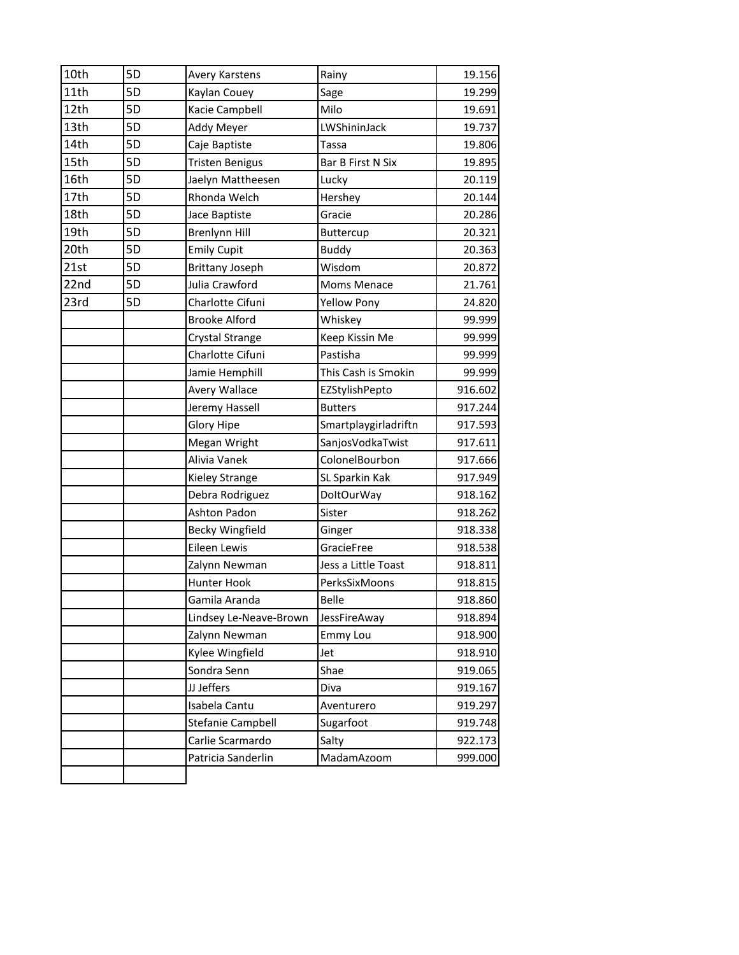| 5D<br>Avery Karstens<br>5D<br>Kaylan Couey<br>5D<br>Kacie Campbell<br>5D<br>Addy Meyer<br>5D<br>Caje Baptiste<br>5D<br><b>Tristen Benigus</b><br>5D<br>5D<br>Rhonda Welch<br>5D<br>Jace Baptiste | Jaelyn Mattheesen | Rainy<br>Sage<br>Milo<br>LWShininJack<br>Tassa<br>Bar B First N Six<br>Lucky                                                                                                                                                                                                                                                                                                                                                                                                                                                                | 19.156                               |
|--------------------------------------------------------------------------------------------------------------------------------------------------------------------------------------------------|-------------------|---------------------------------------------------------------------------------------------------------------------------------------------------------------------------------------------------------------------------------------------------------------------------------------------------------------------------------------------------------------------------------------------------------------------------------------------------------------------------------------------------------------------------------------------|--------------------------------------|
|                                                                                                                                                                                                  |                   |                                                                                                                                                                                                                                                                                                                                                                                                                                                                                                                                             | 19.299                               |
|                                                                                                                                                                                                  |                   |                                                                                                                                                                                                                                                                                                                                                                                                                                                                                                                                             | 19.691<br>19.737<br>19.806<br>19.895 |
|                                                                                                                                                                                                  |                   |                                                                                                                                                                                                                                                                                                                                                                                                                                                                                                                                             |                                      |
|                                                                                                                                                                                                  |                   |                                                                                                                                                                                                                                                                                                                                                                                                                                                                                                                                             |                                      |
|                                                                                                                                                                                                  |                   |                                                                                                                                                                                                                                                                                                                                                                                                                                                                                                                                             |                                      |
|                                                                                                                                                                                                  |                   |                                                                                                                                                                                                                                                                                                                                                                                                                                                                                                                                             |                                      |
|                                                                                                                                                                                                  |                   |                                                                                                                                                                                                                                                                                                                                                                                                                                                                                                                                             | 20.119                               |
|                                                                                                                                                                                                  |                   | Hershey                                                                                                                                                                                                                                                                                                                                                                                                                                                                                                                                     | 20.144                               |
|                                                                                                                                                                                                  |                   | Gracie                                                                                                                                                                                                                                                                                                                                                                                                                                                                                                                                      | 20.286                               |
| 5D<br><b>Brenlynn Hill</b>                                                                                                                                                                       |                   | Buttercup                                                                                                                                                                                                                                                                                                                                                                                                                                                                                                                                   | 20.321                               |
| 5D<br><b>Emily Cupit</b>                                                                                                                                                                         |                   | <b>Buddy</b>                                                                                                                                                                                                                                                                                                                                                                                                                                                                                                                                | 20.363                               |
|                                                                                                                                                                                                  |                   | Wisdom                                                                                                                                                                                                                                                                                                                                                                                                                                                                                                                                      | 20.872                               |
|                                                                                                                                                                                                  |                   | Moms Menace                                                                                                                                                                                                                                                                                                                                                                                                                                                                                                                                 | 21.761                               |
|                                                                                                                                                                                                  |                   | <b>Yellow Pony</b>                                                                                                                                                                                                                                                                                                                                                                                                                                                                                                                          | 24.820                               |
|                                                                                                                                                                                                  |                   | Whiskey                                                                                                                                                                                                                                                                                                                                                                                                                                                                                                                                     | 99.999                               |
|                                                                                                                                                                                                  |                   | Keep Kissin Me                                                                                                                                                                                                                                                                                                                                                                                                                                                                                                                              | 99.999                               |
|                                                                                                                                                                                                  |                   | Pastisha                                                                                                                                                                                                                                                                                                                                                                                                                                                                                                                                    | 99.999                               |
|                                                                                                                                                                                                  |                   | This Cash is Smokin                                                                                                                                                                                                                                                                                                                                                                                                                                                                                                                         | 99.999                               |
|                                                                                                                                                                                                  |                   | EZStylishPepto                                                                                                                                                                                                                                                                                                                                                                                                                                                                                                                              | 916.602                              |
|                                                                                                                                                                                                  |                   | <b>Butters</b>                                                                                                                                                                                                                                                                                                                                                                                                                                                                                                                              | 917.244                              |
|                                                                                                                                                                                                  |                   | Smartplaygirladriftn                                                                                                                                                                                                                                                                                                                                                                                                                                                                                                                        | 917.593                              |
|                                                                                                                                                                                                  |                   | SanjosVodkaTwist                                                                                                                                                                                                                                                                                                                                                                                                                                                                                                                            | 917.611                              |
|                                                                                                                                                                                                  |                   | ColonelBourbon                                                                                                                                                                                                                                                                                                                                                                                                                                                                                                                              | 917.666                              |
|                                                                                                                                                                                                  |                   | SL Sparkin Kak                                                                                                                                                                                                                                                                                                                                                                                                                                                                                                                              | 917.949                              |
|                                                                                                                                                                                                  |                   | <b>DoltOurWay</b>                                                                                                                                                                                                                                                                                                                                                                                                                                                                                                                           | 918.162                              |
|                                                                                                                                                                                                  |                   | Sister                                                                                                                                                                                                                                                                                                                                                                                                                                                                                                                                      | 918.262                              |
|                                                                                                                                                                                                  |                   | Ginger                                                                                                                                                                                                                                                                                                                                                                                                                                                                                                                                      | 918.338                              |
|                                                                                                                                                                                                  |                   | GracieFree                                                                                                                                                                                                                                                                                                                                                                                                                                                                                                                                  | 918.538                              |
|                                                                                                                                                                                                  |                   | Jess a Little Toast                                                                                                                                                                                                                                                                                                                                                                                                                                                                                                                         | 918.811                              |
|                                                                                                                                                                                                  |                   | PerksSixMoons                                                                                                                                                                                                                                                                                                                                                                                                                                                                                                                               | 918.815                              |
|                                                                                                                                                                                                  |                   | <b>Belle</b>                                                                                                                                                                                                                                                                                                                                                                                                                                                                                                                                | 918.860                              |
|                                                                                                                                                                                                  |                   | JessFireAway                                                                                                                                                                                                                                                                                                                                                                                                                                                                                                                                | 918.894                              |
|                                                                                                                                                                                                  |                   | <b>Emmy Lou</b>                                                                                                                                                                                                                                                                                                                                                                                                                                                                                                                             | 918.900                              |
|                                                                                                                                                                                                  |                   | Jet                                                                                                                                                                                                                                                                                                                                                                                                                                                                                                                                         | 918.910                              |
|                                                                                                                                                                                                  |                   | Shae                                                                                                                                                                                                                                                                                                                                                                                                                                                                                                                                        | 919.065                              |
| JJ Jeffers                                                                                                                                                                                       |                   | Diva                                                                                                                                                                                                                                                                                                                                                                                                                                                                                                                                        | 919.167                              |
|                                                                                                                                                                                                  |                   | Aventurero                                                                                                                                                                                                                                                                                                                                                                                                                                                                                                                                  | 919.297                              |
|                                                                                                                                                                                                  |                   | Sugarfoot                                                                                                                                                                                                                                                                                                                                                                                                                                                                                                                                   | 919.748                              |
|                                                                                                                                                                                                  |                   | Salty                                                                                                                                                                                                                                                                                                                                                                                                                                                                                                                                       | 922.173                              |
|                                                                                                                                                                                                  |                   | MadamAzoom                                                                                                                                                                                                                                                                                                                                                                                                                                                                                                                                  | 999.000                              |
|                                                                                                                                                                                                  | 5D<br>5D<br>5D    | <b>Brittany Joseph</b><br>Julia Crawford<br>Charlotte Cifuni<br><b>Brooke Alford</b><br>Crystal Strange<br>Charlotte Cifuni<br>Jamie Hemphill<br>Avery Wallace<br>Jeremy Hassell<br><b>Glory Hipe</b><br>Megan Wright<br>Alivia Vanek<br>Kieley Strange<br>Debra Rodriguez<br>Ashton Padon<br>Becky Wingfield<br>Eileen Lewis<br>Zalynn Newman<br>Hunter Hook<br>Gamila Aranda<br>Lindsey Le-Neave-Brown<br>Zalynn Newman<br>Kylee Wingfield<br>Sondra Senn<br>Isabela Cantu<br>Stefanie Campbell<br>Carlie Scarmardo<br>Patricia Sanderlin |                                      |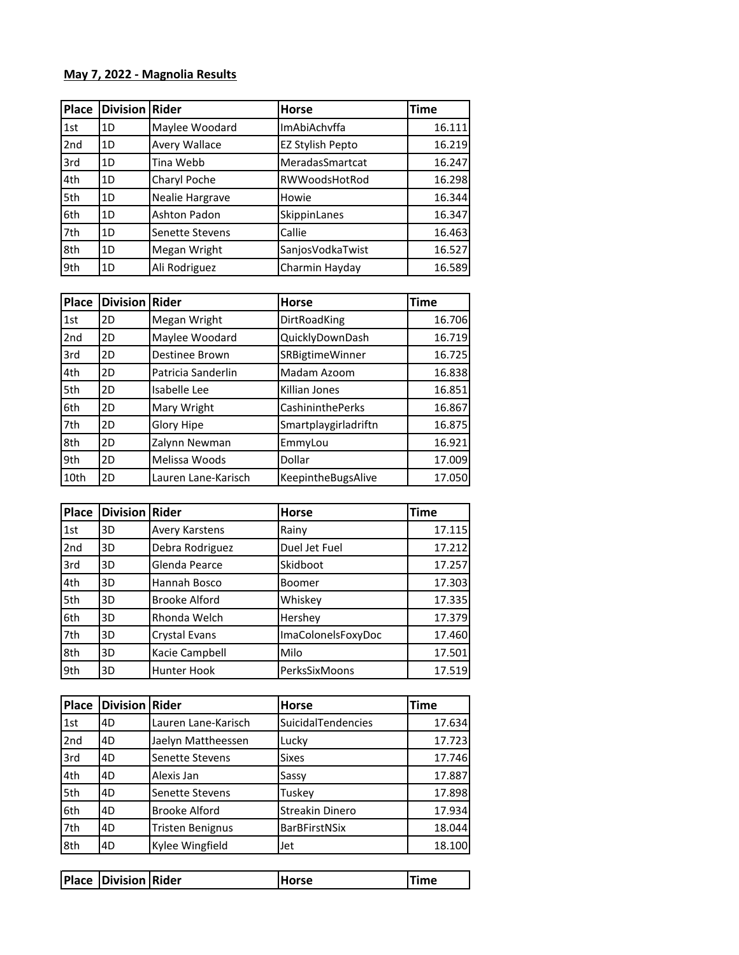## **May 7, 2022 - Magnolia Results**

| <b>Place</b> | <b>Division Rider</b> |                 | <b>Horse</b>         | <b>Time</b> |
|--------------|-----------------------|-----------------|----------------------|-------------|
| 1st          | 1D                    | Maylee Woodard  | ImAbiAchvffa         | 16.111      |
| 2nd          | 1D                    | Avery Wallace   | EZ Stylish Pepto     | 16.219      |
| 3rd          | 1D                    | Tina Webb       | MeradasSmartcat      | 16.247      |
| 4th          | 1D                    | Charyl Poche    | <b>RWWoodsHotRod</b> | 16.298      |
| 5th          | 1D                    | Nealie Hargrave | Howie                | 16.344      |
| 6th          | 1D                    | Ashton Padon    | SkippinLanes         | 16.347      |
| 7th          | 1D                    | Senette Stevens | Callie               | 16.463      |
| 8th          | 1D                    | Megan Wright    | SanjosVodkaTwist     | 16.527      |
| 9th          | 1D                    | Ali Rodriguez   | Charmin Hayday       | 16.589      |

| <b>Place</b>    | <b>Division Rider</b> |                     | <b>Horse</b>           | <b>Time</b> |
|-----------------|-----------------------|---------------------|------------------------|-------------|
| 1st             | 2D                    | Megan Wright        | DirtRoadKing           | 16.706      |
| 2 <sub>nd</sub> | 2D                    | Maylee Woodard      | QuicklyDownDash        | 16.719      |
| 3rd             | 2D                    | Destinee Brown      | <b>SRBigtimeWinner</b> | 16.725      |
| 4th             | 2D                    | Patricia Sanderlin  | Madam Azoom            | 16.838      |
| 5th             | 2D                    | Isabelle Lee        | Killian Jones          | 16.851      |
| 6th             | 2D                    | Mary Wright         | CashininthePerks       | 16.867      |
| 7th             | 2D                    | Glory Hipe          | Smartplaygirladriftn   | 16.875      |
| 8th             | 2D                    | Zalynn Newman       | EmmyLou                | 16.921      |
| 9th             | 2D                    | Melissa Woods       | Dollar                 | 17.009      |
| 10th            | 2D                    | Lauren Lane-Karisch | KeepintheBugsAlive     | 17.050      |

| <b>Place</b>    | <b>Division Rider</b> |                      | <b>Horse</b>       | <b>Time</b> |
|-----------------|-----------------------|----------------------|--------------------|-------------|
| 1st             | 3D                    | Avery Karstens       | Rainy              | 17.115      |
| 2 <sub>nd</sub> | 3D                    | Debra Rodriguez      | Duel Jet Fuel      | 17.212      |
| 3rd             | 3D                    | Glenda Pearce        | Skidboot           | 17.257      |
| 4th             | 3D                    | Hannah Bosco         | Boomer             | 17.303      |
| 5th             | 3D                    | <b>Brooke Alford</b> | Whiskey            | 17.335      |
| 6th             | 3D                    | Rhonda Welch         | Hershey            | 17.379      |
| 7th             | 3D                    | Crystal Evans        | ImaColonelsFoxyDoc | 17.460      |
| 8th             | 3D                    | Kacie Campbell       | Milo               | 17.501      |
| 9th             | 3D                    | Hunter Hook          | PerksSixMoons      | 17.519      |

| Place           | <b>Division Rider</b> |                         | <b>Horse</b>              | Time   |
|-----------------|-----------------------|-------------------------|---------------------------|--------|
| 1st             | 4D                    | Lauren Lane-Karisch     | <b>SuicidalTendencies</b> | 17.634 |
| 2 <sub>nd</sub> | 4D                    | Jaelyn Mattheessen      | Lucky                     | 17.723 |
| 3rd             | 4D                    | Senette Stevens         | <b>Sixes</b>              | 17.746 |
| 4th             | 4D                    | Alexis Jan              | Sassy                     | 17.887 |
| 5th             | 4D                    | Senette Stevens         | Tuskey                    | 17.898 |
| 6th             | 4D                    | <b>Brooke Alford</b>    | Streakin Dinero           | 17.934 |
| 7th             | 4D                    | <b>Tristen Benignus</b> | <b>BarBFirstNSix</b>      | 18.044 |
| 8th             | 4D                    | Kylee Wingfield         | Jet                       | 18.100 |

| <b>Place Division Rider</b> | Horse | ïme |
|-----------------------------|-------|-----|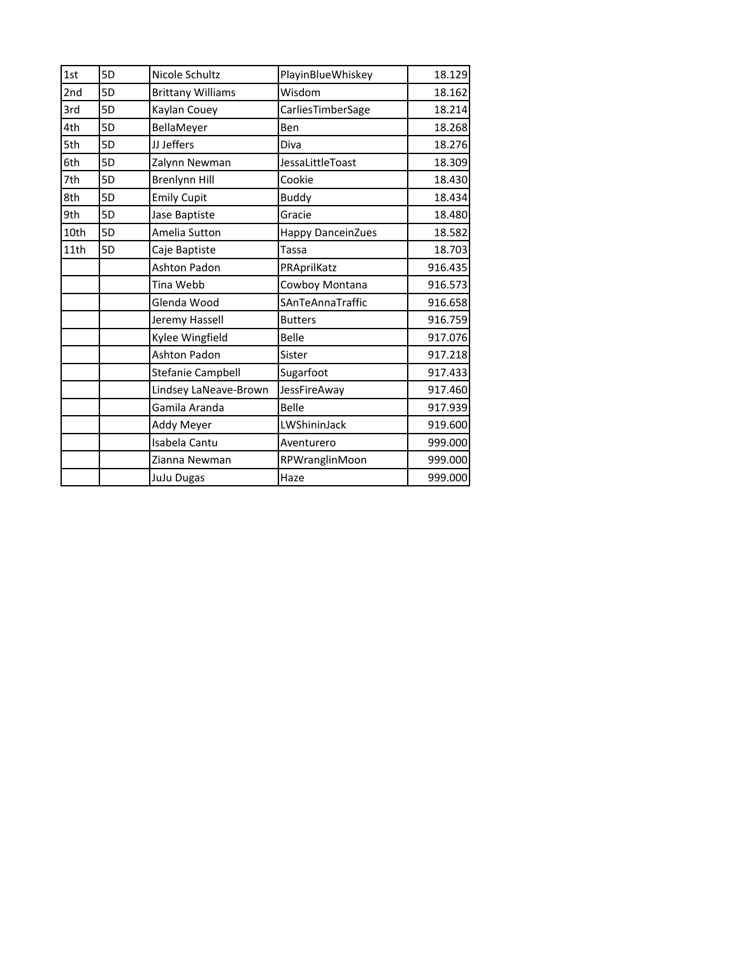| 1st  | 5D | Nicole Schultz           | PlayinBlueWhiskey        | 18.129  |
|------|----|--------------------------|--------------------------|---------|
| 2nd  | 5D | <b>Brittany Williams</b> | Wisdom                   | 18.162  |
| 3rd  | 5D | Kaylan Couey             | CarliesTimberSage        | 18.214  |
| 4th  | 5D | BellaMeyer               | Ben                      | 18.268  |
| 5th  | 5D | JJ Jeffers               | Diva                     | 18.276  |
| 6th  | 5D | Zalynn Newman            | JessaLittleToast         | 18.309  |
| 7th  | 5D | <b>Brenlynn Hill</b>     | Cookie                   | 18.430  |
| 8th  | 5D | <b>Emily Cupit</b>       | <b>Buddy</b>             | 18.434  |
| 9th  | 5D | Jase Baptiste            | Gracie                   | 18.480  |
| 10th | 5D | Amelia Sutton            | <b>Happy DanceinZues</b> | 18.582  |
| 11th | 5D | Caje Baptiste            | Tassa                    | 18.703  |
|      |    | <b>Ashton Padon</b>      | PRAprilKatz              | 916.435 |
|      |    | Tina Webb                | Cowboy Montana           | 916.573 |
|      |    | Glenda Wood              | SAnTeAnnaTraffic         | 916.658 |
|      |    | Jeremy Hassell           | <b>Butters</b>           | 916.759 |
|      |    | Kylee Wingfield          | <b>Belle</b>             | 917.076 |
|      |    | <b>Ashton Padon</b>      | Sister                   | 917.218 |
|      |    | Stefanie Campbell        | Sugarfoot                | 917.433 |
|      |    | Lindsey LaNeave-Brown    | JessFireAway             | 917.460 |
|      |    | Gamila Aranda            | <b>Belle</b>             | 917.939 |
|      |    | Addy Meyer               | LWShininJack             | 919.600 |
|      |    | Isabela Cantu            | Aventurero               | 999.000 |
|      |    | Zianna Newman            | RPWranglinMoon           | 999.000 |
|      |    | JuJu Dugas               | Haze                     | 999.000 |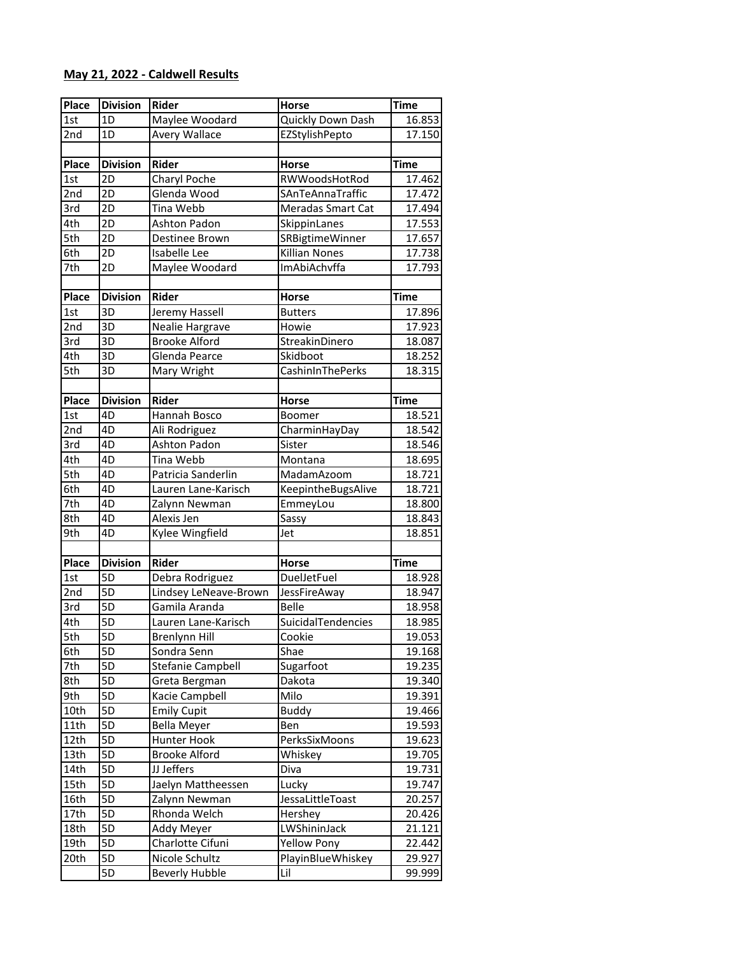## **May 21, 2022 - Caldwell Results**

| Place        | <b>Division</b> | <b>Rider</b>          | Horse                | <b>Time</b> |
|--------------|-----------------|-----------------------|----------------------|-------------|
| 1st          | 1D              | Maylee Woodard        | Quickly Down Dash    | 16.853      |
| 2nd          | 1D              | Avery Wallace         | EZStylishPepto       | 17.150      |
|              |                 |                       |                      |             |
| Place        | <b>Division</b> | Rider                 | <b>Horse</b>         | <b>Time</b> |
| 1st          | 2D              | Charyl Poche          | RWWoodsHotRod        | 17.462      |
| 2nd          | 2D              | Glenda Wood           | SAnTeAnnaTraffic     | 17.472      |
| 3rd          | 2D              | Tina Webb             | Meradas Smart Cat    | 17.494      |
| 4th          | 2D              | Ashton Padon          | SkippinLanes         | 17.553      |
| 5th          | 2D              | Destinee Brown        | SRBigtimeWinner      | 17.657      |
| 6th          | 2D              | Isabelle Lee          | <b>Killian Nones</b> | 17.738      |
| 7th          | 2D              | Maylee Woodard        | ImAbiAchvffa         | 17.793      |
|              |                 |                       |                      |             |
| <b>Place</b> | <b>Division</b> | Rider                 | <b>Horse</b>         | <b>Time</b> |
| 1st          | 3D              | Jeremy Hassell        | <b>Butters</b>       | 17.896      |
| 2nd          | 3D              | Nealie Hargrave       | Howie                | 17.923      |
| 3rd          | 3D              | <b>Brooke Alford</b>  | StreakinDinero       | 18.087      |
| 4th          | 3D              | Glenda Pearce         | Skidboot             | 18.252      |
| 5th          | 3D              | Mary Wright           | CashinInThePerks     | 18.315      |
|              |                 |                       |                      |             |
| Place        | <b>Division</b> | Rider                 | <b>Horse</b>         | <b>Time</b> |
| 1st          | 4D              | Hannah Bosco          | Boomer               | 18.521      |
| 2nd          | 4D              | Ali Rodriguez         | CharminHayDay        | 18.542      |
| 3rd          | 4D              | <b>Ashton Padon</b>   | Sister               | 18.546      |
| 4th          | 4D              | Tina Webb             | Montana              | 18.695      |
| 5th          | 4D              | Patricia Sanderlin    | MadamAzoom           | 18.721      |
| 6th          | 4D              | Lauren Lane-Karisch   | KeepintheBugsAlive   | 18.721      |
| 7th          | 4D              | Zalynn Newman         | EmmeyLou             | 18.800      |
| 8th          | 4D              | Alexis Jen            | Sassy                | 18.843      |
| 9th          | 4D              | Kylee Wingfield       | Jet                  | 18.851      |
|              |                 |                       |                      |             |
| Place        | <b>Division</b> | <b>Rider</b>          | <b>Horse</b>         | <b>Time</b> |
| 1st          | 5D              | Debra Rodriguez       | <b>DuelJetFuel</b>   | 18.928      |
| 2nd          | 5D              | Lindsey LeNeave-Brown | JessFireAway         | 18.947      |
| 3rd          | 5D              | Gamila Aranda         | <b>Belle</b>         | 18.958      |
| 4th          | $\overline{5D}$ | Lauren Lane-Karisch   | SuicidalTendencies   | 18.985      |
| 5th          | 5D              | <b>Brenlynn Hill</b>  | Cookie               | 19.053      |
| 6th          | 5D              | Sondra Senn           | Shae                 | 19.168      |
| 7th          | 5D              | Stefanie Campbell     | Sugarfoot            | 19.235      |
| 8th          | 5D              | Greta Bergman         | Dakota               | 19.340      |
| 9th          | 5D              | Kacie Campbell        | Milo                 | 19.391      |
| 10th         | 5D              | <b>Emily Cupit</b>    | <b>Buddy</b>         | 19.466      |
| 11th         | 5D              | <b>Bella Meyer</b>    | Ben                  | 19.593      |
| 12th         | 5D              | Hunter Hook           | PerksSixMoons        | 19.623      |
| 13th         | 5D              | <b>Brooke Alford</b>  | Whiskey              | 19.705      |
| 14th         | 5D              | JJ Jeffers            | Diva                 | 19.731      |
| 15th         | 5D              | Jaelyn Mattheessen    | Lucky                | 19.747      |
| 16th         | 5D              | Zalynn Newman         | JessaLittleToast     | 20.257      |
| 17th         | 5D              | Rhonda Welch          | Hershey              | 20.426      |
| 18th         | 5D              | <b>Addy Meyer</b>     | LWShininJack         | 21.121      |
| 19th         | 5D              | Charlotte Cifuni      | <b>Yellow Pony</b>   | 22.442      |
| 20th         | 5D              | Nicole Schultz        | PlayinBlueWhiskey    | 29.927      |
|              | 5D              | <b>Beverly Hubble</b> | Lil                  | 99.999      |